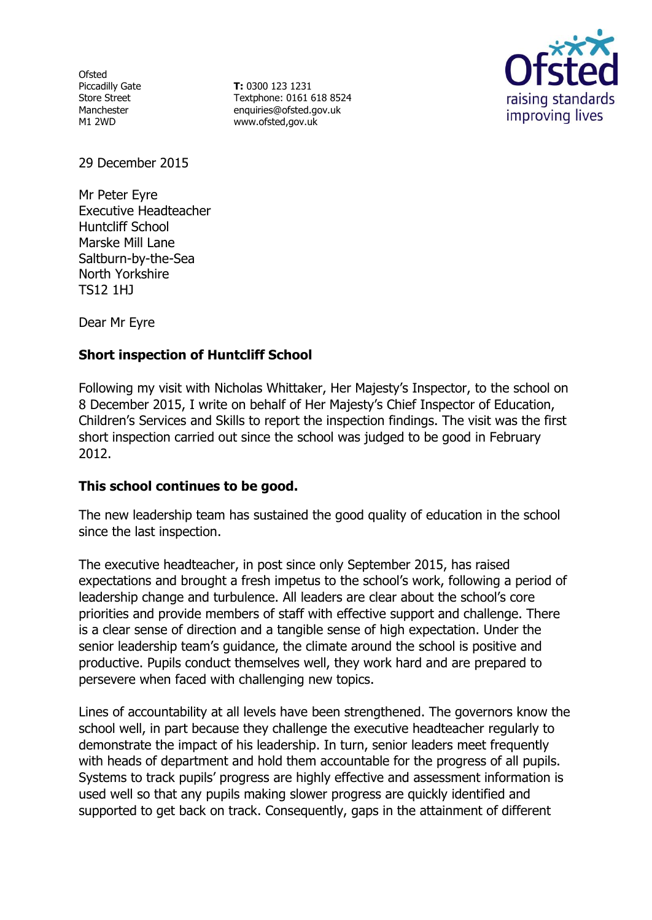**Ofsted** Piccadilly Gate Store Street Manchester M1 2WD

**T:** 0300 123 1231 Textphone: 0161 618 8524 enquiries@ofsted.gov.uk www.ofsted,gov.uk



29 December 2015

Mr Peter Eyre Executive Headteacher Huntcliff School Marske Mill Lane Saltburn-by-the-Sea North Yorkshire TS12 1HJ

Dear Mr Eyre

# **Short inspection of Huntcliff School**

Following my visit with Nicholas Whittaker, Her Majesty's Inspector, to the school on 8 December 2015, I write on behalf of Her Majesty's Chief Inspector of Education, Children's Services and Skills to report the inspection findings. The visit was the first short inspection carried out since the school was judged to be good in February 2012.

### **This school continues to be good.**

The new leadership team has sustained the good quality of education in the school since the last inspection.

The executive headteacher, in post since only September 2015, has raised expectations and brought a fresh impetus to the school's work, following a period of leadership change and turbulence. All leaders are clear about the school's core priorities and provide members of staff with effective support and challenge. There is a clear sense of direction and a tangible sense of high expectation. Under the senior leadership team's guidance, the climate around the school is positive and productive. Pupils conduct themselves well, they work hard and are prepared to persevere when faced with challenging new topics.

Lines of accountability at all levels have been strengthened. The governors know the school well, in part because they challenge the executive headteacher regularly to demonstrate the impact of his leadership. In turn, senior leaders meet frequently with heads of department and hold them accountable for the progress of all pupils. Systems to track pupils' progress are highly effective and assessment information is used well so that any pupils making slower progress are quickly identified and supported to get back on track. Consequently, gaps in the attainment of different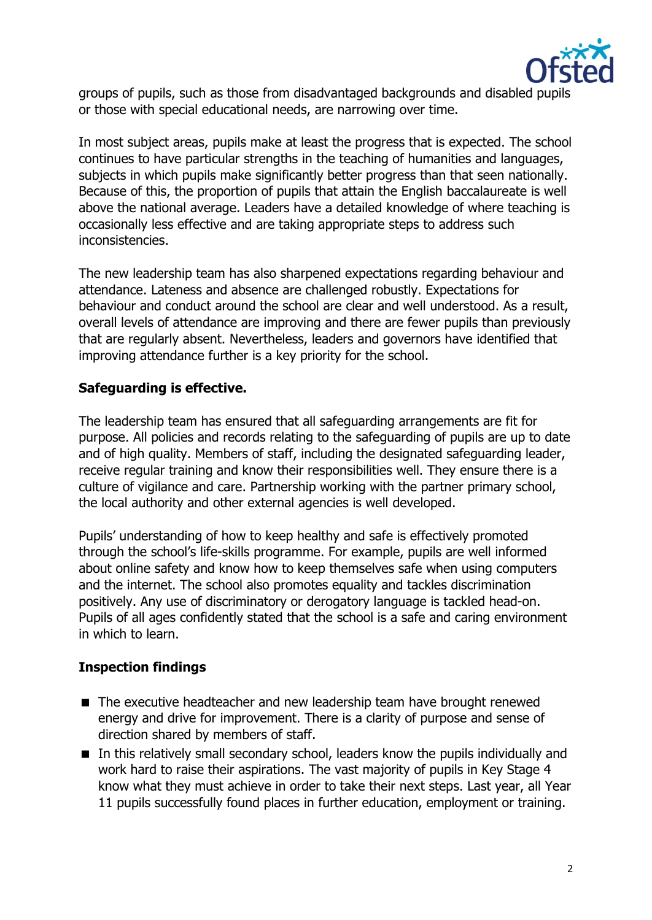

groups of pupils, such as those from disadvantaged backgrounds and disabled pupils or those with special educational needs, are narrowing over time.

In most subject areas, pupils make at least the progress that is expected. The school continues to have particular strengths in the teaching of humanities and languages, subjects in which pupils make significantly better progress than that seen nationally. Because of this, the proportion of pupils that attain the English baccalaureate is well above the national average. Leaders have a detailed knowledge of where teaching is occasionally less effective and are taking appropriate steps to address such inconsistencies.

The new leadership team has also sharpened expectations regarding behaviour and attendance. Lateness and absence are challenged robustly. Expectations for behaviour and conduct around the school are clear and well understood. As a result, overall levels of attendance are improving and there are fewer pupils than previously that are regularly absent. Nevertheless, leaders and governors have identified that improving attendance further is a key priority for the school.

# **Safeguarding is effective.**

The leadership team has ensured that all safeguarding arrangements are fit for purpose. All policies and records relating to the safeguarding of pupils are up to date and of high quality. Members of staff, including the designated safeguarding leader, receive regular training and know their responsibilities well. They ensure there is a culture of vigilance and care. Partnership working with the partner primary school, the local authority and other external agencies is well developed.

Pupils' understanding of how to keep healthy and safe is effectively promoted through the school's life-skills programme. For example, pupils are well informed about online safety and know how to keep themselves safe when using computers and the internet. The school also promotes equality and tackles discrimination positively. Any use of discriminatory or derogatory language is tackled head-on. Pupils of all ages confidently stated that the school is a safe and caring environment in which to learn.

### **Inspection findings**

- The executive headteacher and new leadership team have brought renewed energy and drive for improvement. There is a clarity of purpose and sense of direction shared by members of staff.
- In this relatively small secondary school, leaders know the pupils individually and work hard to raise their aspirations. The vast majority of pupils in Key Stage 4 know what they must achieve in order to take their next steps. Last year, all Year 11 pupils successfully found places in further education, employment or training.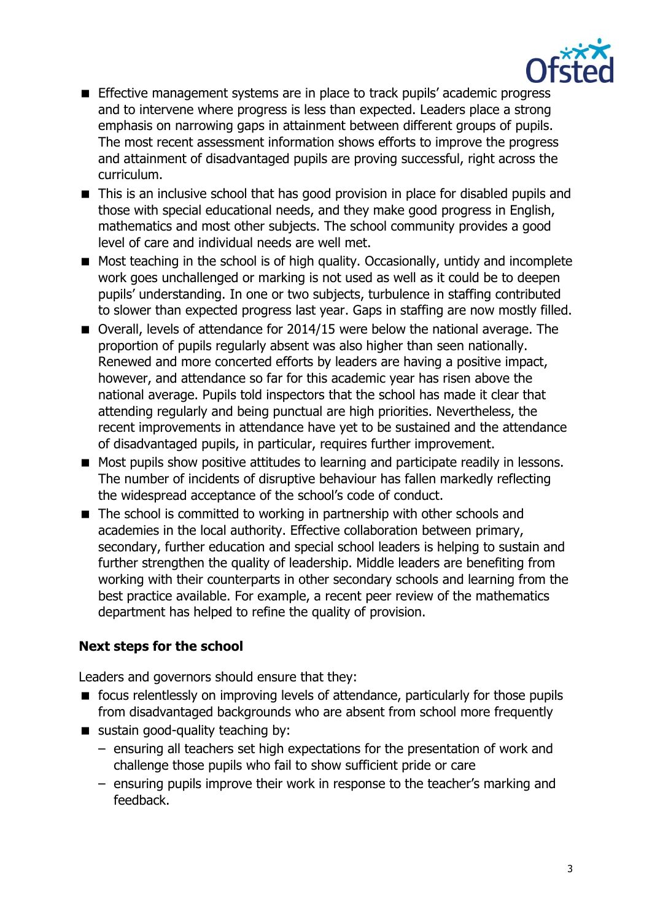

- **Effective management systems are in place to track pupils' academic progress** and to intervene where progress is less than expected. Leaders place a strong emphasis on narrowing gaps in attainment between different groups of pupils. The most recent assessment information shows efforts to improve the progress and attainment of disadvantaged pupils are proving successful, right across the curriculum.
- This is an inclusive school that has good provision in place for disabled pupils and those with special educational needs, and they make good progress in English, mathematics and most other subjects. The school community provides a good level of care and individual needs are well met.
- Most teaching in the school is of high quality. Occasionally, untidy and incomplete work goes unchallenged or marking is not used as well as it could be to deepen pupils' understanding. In one or two subjects, turbulence in staffing contributed to slower than expected progress last year. Gaps in staffing are now mostly filled.
- Overall, levels of attendance for 2014/15 were below the national average. The proportion of pupils regularly absent was also higher than seen nationally. Renewed and more concerted efforts by leaders are having a positive impact, however, and attendance so far for this academic year has risen above the national average. Pupils told inspectors that the school has made it clear that attending regularly and being punctual are high priorities. Nevertheless, the recent improvements in attendance have yet to be sustained and the attendance of disadvantaged pupils, in particular, requires further improvement.
- Most pupils show positive attitudes to learning and participate readily in lessons. The number of incidents of disruptive behaviour has fallen markedly reflecting the widespread acceptance of the school's code of conduct.
- The school is committed to working in partnership with other schools and academies in the local authority. Effective collaboration between primary, secondary, further education and special school leaders is helping to sustain and further strengthen the quality of leadership. Middle leaders are benefiting from working with their counterparts in other secondary schools and learning from the best practice available. For example, a recent peer review of the mathematics department has helped to refine the quality of provision.

# **Next steps for the school**

Leaders and governors should ensure that they:

- **F** focus relentlessly on improving levels of attendance, particularly for those pupils from disadvantaged backgrounds who are absent from school more frequently
- sustain good-quality teaching by:
	- ensuring all teachers set high expectations for the presentation of work and challenge those pupils who fail to show sufficient pride or care
	- ensuring pupils improve their work in response to the teacher's marking and feedback.